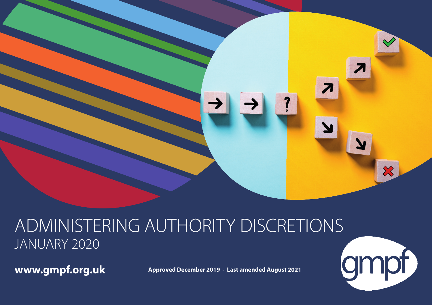

# ADMINISTERING AUTHORITY DISCRETIONS JANUARY 2020

**www.gmpf.org.uk**

**Approved December 2019 - Last amended August 2021**

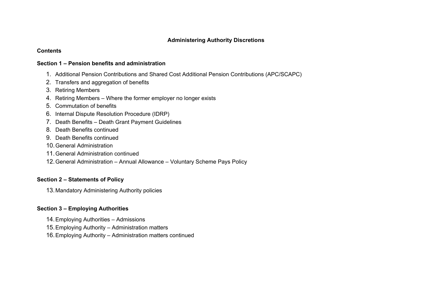#### **Contents**

#### **Section 1 – Pension benefits and administration**

- 1. Additional Pension Contributions and Shared Cost Additional Pension Contributions (APC/SCAPC)
- 2. Transfers and aggregation of benefits
- 3. Retiring Members
- 4. Retiring Members Where the former employer no longer exists
- 5. Commutation of benefits
- 6. Internal Dispute Resolution Procedure (IDRP)
- 7. Death Benefits Death Grant Payment Guidelines
- 8. Death Benefits continued
- 9. Death Benefits continued
- 10.General Administration
- 11. General Administration continued
- 12.General Administration Annual Allowance Voluntary Scheme Pays Policy

#### **Section 2 – Statements of Policy**

13.Mandatory Administering Authority policies

#### **Section 3 – Employing Authorities**

- 14.Employing Authorities Admissions
- 15.Employing Authority Administration matters
- 16.Employing Authority Administration matters continued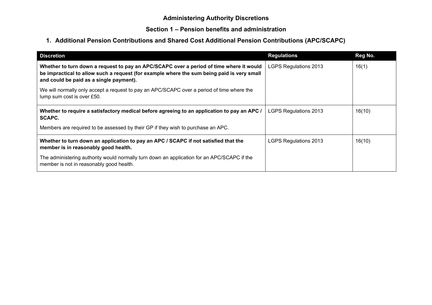# **1. Additional Pension Contributions and Shared Cost Additional Pension Contributions (APC/SCAPC)**

| <b>Discretion</b>                                                                                                                                                                                                                | <b>Regulations</b>           | Reg No. |
|----------------------------------------------------------------------------------------------------------------------------------------------------------------------------------------------------------------------------------|------------------------------|---------|
| Whether to turn down a request to pay an APC/SCAPC over a period of time where it would<br>be impractical to allow such a request (for example where the sum being paid is very small<br>and could be paid as a single payment). | <b>LGPS Regulations 2013</b> | 16(1)   |
| We will normally only accept a request to pay an APC/SCAPC over a period of time where the<br>lump sum cost is over £50.                                                                                                         |                              |         |
| Whether to require a satisfactory medical before agreeing to an application to pay an APC /<br><b>SCAPC.</b>                                                                                                                     | LGPS Regulations 2013        | 16(10)  |
| Members are required to be assessed by their GP if they wish to purchase an APC.                                                                                                                                                 |                              |         |
| Whether to turn down an application to pay an APC / SCAPC if not satisfied that the<br>member is in reasonably good health.                                                                                                      | <b>LGPS Regulations 2013</b> | 16(10)  |
| The administering authority would normally turn down an application for an APC/SCAPC if the<br>member is not in reasonably good health.                                                                                          |                              |         |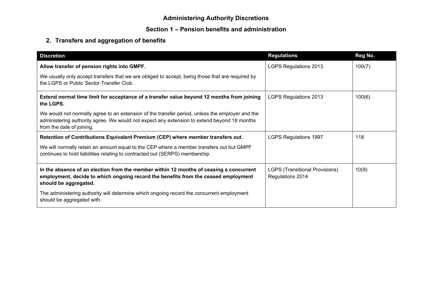# **Section 1 – Pension benefits and administration**

# **2. Transfers and aggregation of benefits**

| <b>Discretion</b>                                                                                                                                                                                                           | <b>Regulations</b>                                        | Reg No. |
|-----------------------------------------------------------------------------------------------------------------------------------------------------------------------------------------------------------------------------|-----------------------------------------------------------|---------|
| Allow transfer of pension rights into GMPF.                                                                                                                                                                                 | <b>LGPS Regulations 2013</b>                              | 100(7)  |
| We usually only accept transfers that we are obliged to accept, being those that are required by<br>the LGPS or Public Sector Transfer Club.                                                                                |                                                           |         |
| Extend normal time limit for acceptance of a transfer value beyond 12 months from joining<br>the LGPS.                                                                                                                      | <b>LGPS Regulations 2013</b>                              | 100(6)  |
| We would not normally agree to an extension of the transfer period, unless the employer and the<br>administering authority agree. We would not expect any extension to extend beyond 18 months<br>from the date of joining. |                                                           |         |
| Retention of Contributions Equivalent Premium (CEP) where member transfers out.                                                                                                                                             | <b>LGPS Regulations 1997</b>                              | 118     |
| We will normally retain an amount equal to the CEP where a member transfers out but GMPF<br>continues to hold liabilities relating to contracted out (SERPS) membership.                                                    |                                                           |         |
| In the absence of an election from the member within 12 months of ceasing a concurrent<br>employment, decide to which ongoing record the benefits from the ceased employment<br>should be aggregated.                       | <b>LGPS (Transitional Provisions)</b><br>Regulations 2014 | 10(9)   |
| The administering authority will determine which ongoing record the concurrent employment<br>should be aggregated with.                                                                                                     |                                                           |         |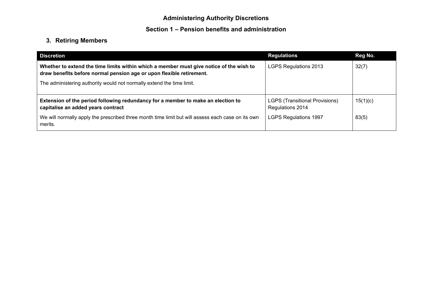# **3. Retiring Members**

| <b>Discretion</b>                                                                                                                                                                                                                        | <b>Regulations</b>                                        | Reg No.  |
|------------------------------------------------------------------------------------------------------------------------------------------------------------------------------------------------------------------------------------------|-----------------------------------------------------------|----------|
| Whether to extend the time limits within which a member must give notice of the wish to<br>draw benefits before normal pension age or upon flexible retirement.<br>The administering authority would not normally extend the time limit. | LGPS Regulations 2013                                     | 32(7)    |
|                                                                                                                                                                                                                                          |                                                           |          |
| Extension of the period following redundancy for a member to make an election to<br>capitalise an added years contract                                                                                                                   | <b>LGPS (Transitional Provisions)</b><br>Regulations 2014 | 15(1)(c) |
| We will normally apply the prescribed three month time limit but will assess each case on its own<br>merits.                                                                                                                             | <b>LGPS Regulations 1997</b>                              | 83(5)    |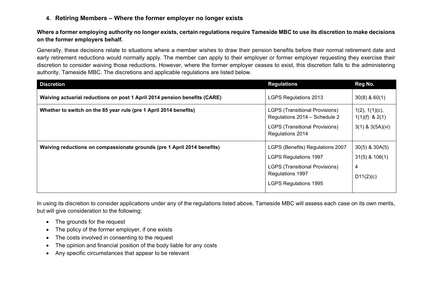**4. Retiring Members – Where the former employer no longer exists**

**Where a former employing authority no longer exists, certain regulations require Tameside MBC to use its discretion to make decisions on the former employers behalf.**

Generally, these decisions relate to situations where a member wishes to draw their pension benefits before their normal retirement date and early retirement reductions would normally apply. The member can apply to their employer or former employer requesting they exercise their discretion to consider waiving those reductions. However, where the former employer ceases to exist, this discretion falls to the administering authority, Tameside MBC. The discretions and applicable regulations are listed below.

| <b>Discretion</b>                                                         | <b>Regulations</b>                                                                                                                                            | Reg No.                                                          |
|---------------------------------------------------------------------------|---------------------------------------------------------------------------------------------------------------------------------------------------------------|------------------------------------------------------------------|
| Waiving actuarial reductions on post 1 April 2014 pension benefits (CARE) | <b>LGPS Regulations 2013</b>                                                                                                                                  | $30(8)$ & 60(1)                                                  |
| Whether to switch on the 85 year rule (pre 1 April 2014 benefits)         | <b>LGPS (Transitional Provisions)</b><br>Regulations 2014 - Schedule 2<br><b>LGPS (Transitional Provisions)</b><br>Regulations 2014                           | $1(2)$ , $1(1)(c)$ ,<br>$1(1)(f)$ & 2(1)<br>$3(1)$ & $3(5A)(vi)$ |
| Waiving reductions on compassionate grounds (pre 1 April 2014 benefits)   | LGPS (Benefits) Regulations 2007<br><b>LGPS Regulations 1997</b><br><b>LGPS (Transitional Provisions)</b><br>Regulations 1997<br><b>LGPS Regulations 1995</b> | $30(5)$ & $30A(5)$<br>$31(5)$ & $106(1)$<br>4<br>D11(2)(c)       |

In using its discretion to consider applications under any of the regulations listed above, Tameside MBC will assess each case on its own merits, but will give consideration to the following:

- The grounds for the request
- The policy of the former employer, if one exists
- The costs involved in consenting to the request
- The opinion and financial position of the body liable for any costs
- Any specific circumstances that appear to be relevant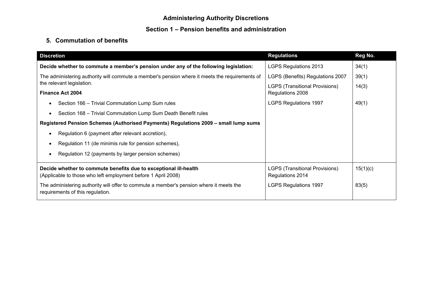# **5. Commutation of benefits**

| <b>Discretion</b>                                                                                                                 | <b>Regulations</b>                                        | Reg No.  |
|-----------------------------------------------------------------------------------------------------------------------------------|-----------------------------------------------------------|----------|
| Decide whether to commute a member's pension under any of the following legislation:                                              | <b>LGPS Regulations 2013</b>                              | 34(1)    |
| The administering authority will commute a member's pension where it meets the requirements of                                    | LGPS (Benefits) Regulations 2007                          | 39(1)    |
| the relevant legislation.                                                                                                         | <b>LGPS (Transitional Provisions)</b>                     | 14(3)    |
| <b>Finance Act 2004</b>                                                                                                           | Regulations 2008                                          |          |
| Section 166 - Trivial Commutation Lump Sum rules                                                                                  | <b>LGPS Regulations 1997</b>                              | 49(1)    |
| Section 168 - Trivial Commutation Lump Sum Death Benefit rules<br>$\bullet$                                                       |                                                           |          |
| Registered Pension Schemes (Authorised Payments) Regulations 2009 - small lump sums                                               |                                                           |          |
| Regulation 6 (payment after relevant accretion),                                                                                  |                                                           |          |
| Regulation 11 (de minimis rule for pension schemes),                                                                              |                                                           |          |
| Regulation 12 (payments by larger pension schemes)                                                                                |                                                           |          |
| Decide whether to commute benefits due to exceptional ill-health<br>(Applicable to those who left employment before 1 April 2008) | <b>LGPS (Transitional Provisions)</b><br>Regulations 2014 | 15(1)(c) |
| The administering authority will offer to commute a member's pension where it meets the<br>requirements of this regulation.       | <b>LGPS Regulations 1997</b>                              | 83(5)    |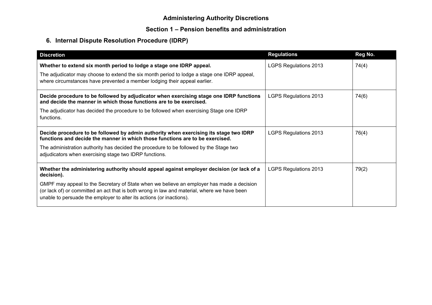# **6. Internal Dispute Resolution Procedure (IDRP)**

| <b>Discretion</b>                                                                                                                                                                                                                                                                                                                                                           | <b>Regulations</b>           | Reg No. |
|-----------------------------------------------------------------------------------------------------------------------------------------------------------------------------------------------------------------------------------------------------------------------------------------------------------------------------------------------------------------------------|------------------------------|---------|
| Whether to extend six month period to lodge a stage one IDRP appeal.<br>The adjudicator may choose to extend the six month period to lodge a stage one IDRP appeal,<br>where circumstances have prevented a member lodging their appeal earlier.                                                                                                                            | <b>LGPS Regulations 2013</b> | 74(4)   |
| Decide procedure to be followed by adjudicator when exercising stage one IDRP functions<br>and decide the manner in which those functions are to be exercised.<br>The adjudicator has decided the procedure to be followed when exercising Stage one IDRP<br>functions.                                                                                                     | <b>LGPS Regulations 2013</b> | 74(6)   |
| Decide procedure to be followed by admin authority when exercising its stage two IDRP<br>functions and decide the manner in which those functions are to be exercised.<br>The administration authority has decided the procedure to be followed by the Stage two<br>adjudicators when exercising stage two IDRP functions.                                                  | <b>LGPS Regulations 2013</b> | 76(4)   |
| Whether the administering authority should appeal against employer decision (or lack of a<br>decision).<br>GMPF may appeal to the Secretary of State when we believe an employer has made a decision<br>(or lack of) or committed an act that is both wrong in law and material, where we have been<br>unable to persuade the employer to alter its actions (or inactions). | <b>LGPS Regulations 2013</b> | 79(2)   |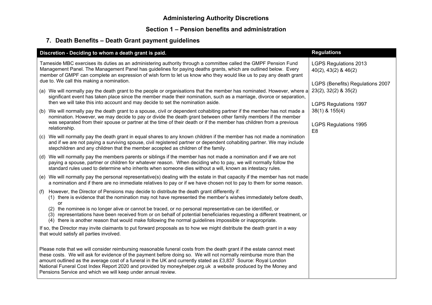# **7. Death Benefits – Death Grant payment guidelines**

| Discretion - Deciding to whom a death grant is paid.                                                                                                                                                                                                                                                                                                                                                                                                                                                                                            | <b>Regulations</b>                                                                              |
|-------------------------------------------------------------------------------------------------------------------------------------------------------------------------------------------------------------------------------------------------------------------------------------------------------------------------------------------------------------------------------------------------------------------------------------------------------------------------------------------------------------------------------------------------|-------------------------------------------------------------------------------------------------|
| Tameside MBC exercises its duties as an administering authority through a committee called the GMPF Pension Fund<br>Management Panel. The Management Panel has guidelines for paying deaths grants, which are outlined below. Every<br>member of GMPF can complete an expression of wish form to let us know who they would like us to pay any death grant<br>due to. We call this making a nomination.                                                                                                                                         | <b>LGPS Regulations 2013</b><br>$40(2)$ , $43(2)$ & $46(2)$                                     |
| (a) We will normally pay the death grant to the people or organisations that the member has nominated. However, where a<br>significant event has taken place since the member made their nomination, such as a marriage, divorce or separation,<br>then we will take this into account and may decide to set the nomination aside.                                                                                                                                                                                                              | LGPS (Benefits) Regulations 2007<br>$23(2)$ , $32(2)$ & $35(2)$<br><b>LGPS Regulations 1997</b> |
| (b) We will normally pay the death grant to a spouse, civil or dependent cohabiting partner if the member has not made a<br>nomination. However, we may decide to pay or divide the death grant between other family members if the member                                                                                                                                                                                                                                                                                                      | $38(1)$ & $155(4)$                                                                              |
| was separated from their spouse or partner at the time of their death or if the member has children from a previous<br>relationship.                                                                                                                                                                                                                                                                                                                                                                                                            | <b>LGPS Regulations 1995</b><br>E <sub>8</sub>                                                  |
| We will normally pay the death grant in equal shares to any known children if the member has not made a nomination<br>(c)<br>and if we are not paying a surviving spouse, civil registered partner or dependent cohabiting partner. We may include<br>stepchildren and any children that the member accepted as children of the family.                                                                                                                                                                                                         |                                                                                                 |
| (d) We will normally pay the members parents or siblings if the member has not made a nomination and if we are not<br>paying a spouse, partner or children for whatever reason. When deciding who to pay, we will normally follow the<br>standard rules used to determine who inherits when someone dies without a will, known as intestacy rules.                                                                                                                                                                                              |                                                                                                 |
| (e) We will normally pay the personal representative(s) dealing with the estate in that capacity if the member has not made<br>a nomination and if there are no immediate relatives to pay or if we have chosen not to pay to them for some reason.                                                                                                                                                                                                                                                                                             |                                                                                                 |
| However, the Director of Pensions may decide to distribute the death grant differently if:<br>(f)<br>(1) there is evidence that the nomination may not have represented the member's wishes immediately before death,<br>or                                                                                                                                                                                                                                                                                                                     |                                                                                                 |
| (2) the nominee is no longer alive or cannot be traced, or no personal representative can be identified, or<br>(3) representations have been received from or on behalf of potential beneficiaries requesting a different treatment, or<br>(4) there is another reason that would make following the normal guidelines impossible or inappropriate.                                                                                                                                                                                             |                                                                                                 |
| If so, the Director may invite claimants to put forward proposals as to how we might distribute the death grant in a way<br>that would satisfy all parties involved.                                                                                                                                                                                                                                                                                                                                                                            |                                                                                                 |
| Please note that we will consider reimbursing reasonable funeral costs from the death grant if the estate cannot meet<br>these costs. We will ask for evidence of the payment before doing so. We will not normally reimburse more than the<br>amount outlined as the average cost of a funeral in the UK and currently stated as £3,837 Source: Royal London<br>National Funeral Cost Index Report 2020 and provided by moneyhelper.org.uk a website produced by the Money and<br>Pensions Service and which we will keep under annual review. |                                                                                                 |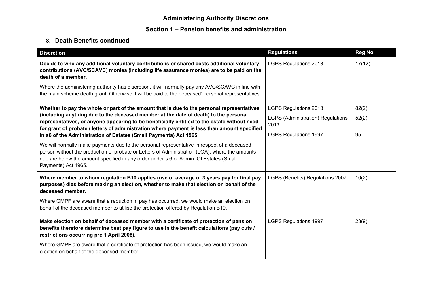## **8. Death Benefits continued**

| <b>Discretion</b>                                                                                                                                                                                                                                                                                            | <b>Regulations</b>                               | Reg No. |
|--------------------------------------------------------------------------------------------------------------------------------------------------------------------------------------------------------------------------------------------------------------------------------------------------------------|--------------------------------------------------|---------|
| Decide to who any additional voluntary contributions or shared costs additional voluntary<br>contributions (AVC/SCAVC) monies (including life assurance monies) are to be paid on the<br>death of a member.                                                                                                  | <b>LGPS Regulations 2013</b>                     | 17(12)  |
| Where the administering authority has discretion, it will normally pay any AVC/SCAVC in line with<br>the main scheme death grant. Otherwise it will be paid to the deceased' personal representatives.                                                                                                       |                                                  |         |
| Whether to pay the whole or part of the amount that is due to the personal representatives                                                                                                                                                                                                                   | <b>LGPS Regulations 2013</b>                     | 82(2)   |
| (including anything due to the deceased member at the date of death) to the personal<br>representatives, or anyone appearing to be beneficially entitled to the estate without need<br>for grant of probate / letters of administration where payment is less than amount specified                          | <b>LGPS (Administration) Regulations</b><br>2013 | 52(2)   |
| in s6 of the Administration of Estates (Small Payments) Act 1965.                                                                                                                                                                                                                                            | <b>LGPS Regulations 1997</b>                     | 95      |
| We will normally make payments due to the personal representative in respect of a deceased<br>person without the production of probate or Letters of Administration (LOA), where the amounts<br>due are below the amount specified in any order under s.6 of Admin. Of Estates (Small<br>Payments) Act 1965. |                                                  |         |
| Where member to whom regulation B10 applies (use of average of 3 years pay for final pay<br>purposes) dies before making an election, whether to make that election on behalf of the<br>deceased member.                                                                                                     | LGPS (Benefits) Regulations 2007                 | 10(2)   |
| Where GMPF are aware that a reduction in pay has occurred, we would make an election on<br>behalf of the deceased member to utilise the protection offered by Regulation B10.                                                                                                                                |                                                  |         |
| Make election on behalf of deceased member with a certificate of protection of pension<br>benefits therefore determine best pay figure to use in the benefit calculations (pay cuts /<br>restrictions occurring pre 1 April 2008).                                                                           | <b>LGPS Regulations 1997</b>                     | 23(9)   |
| Where GMPF are aware that a certificate of protection has been issued, we would make an<br>election on behalf of the deceased member.                                                                                                                                                                        |                                                  |         |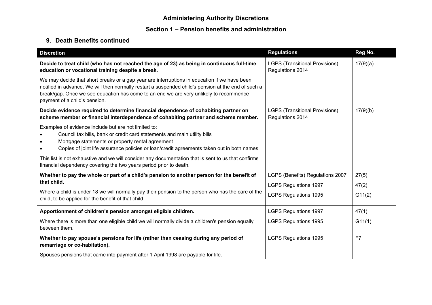## **9. Death Benefits continued**

| <b>Discretion</b>                                                                                                                                                                                                                                                                                                              | <b>Regulations</b>                                        | Reg No.  |
|--------------------------------------------------------------------------------------------------------------------------------------------------------------------------------------------------------------------------------------------------------------------------------------------------------------------------------|-----------------------------------------------------------|----------|
| Decide to treat child (who has not reached the age of 23) as being in continuous full-time<br>education or vocational training despite a break.                                                                                                                                                                                | <b>LGPS (Transitional Provisions)</b><br>Regulations 2014 | 17(9)(a) |
| We may decide that short breaks or a gap year are interruptions in education if we have been<br>notified in advance. We will then normally restart a suspended child's pension at the end of such a<br>break/gap. Once we see education has come to an end we are very unlikely to recommence<br>payment of a child's pension. |                                                           |          |
| Decide evidence required to determine financial dependence of cohabiting partner on<br>scheme member or financial interdependence of cohabiting partner and scheme member.                                                                                                                                                     | <b>LGPS (Transitional Provisions)</b><br>Regulations 2014 | 17(9)(b) |
| Examples of evidence include but are not limited to:<br>Council tax bills, bank or credit card statements and main utility bills<br>Mortgage statements or property rental agreement<br>Copies of joint life assurance policies or loan/credit agreements taken out in both names                                              |                                                           |          |
| This list is not exhaustive and we will consider any documentation that is sent to us that confirms<br>financial dependency covering the two years period prior to death.                                                                                                                                                      |                                                           |          |
| Whether to pay the whole or part of a child's pension to another person for the benefit of                                                                                                                                                                                                                                     | LGPS (Benefits) Regulations 2007                          | 27(5)    |
| that child.                                                                                                                                                                                                                                                                                                                    | <b>LGPS Regulations 1997</b>                              | 47(2)    |
| Where a child is under 18 we will normally pay their pension to the person who has the care of the<br>child, to be applied for the benefit of that child.                                                                                                                                                                      | <b>LGPS Regulations 1995</b>                              | G11(2)   |
| Apportionment of children's pension amongst eligible children.                                                                                                                                                                                                                                                                 | <b>LGPS Regulations 1997</b>                              | 47(1)    |
| Where there is more than one eligible child we will normally divide a children's pension equally<br>between them.                                                                                                                                                                                                              | <b>LGPS Regulations 1995</b>                              | G11(1)   |
| Whether to pay spouse's pensions for life (rather than ceasing during any period of<br>remarriage or co-habitation).                                                                                                                                                                                                           | <b>LGPS Regulations 1995</b>                              | F7       |
| Spouses pensions that came into payment after 1 April 1998 are payable for life.                                                                                                                                                                                                                                               |                                                           |          |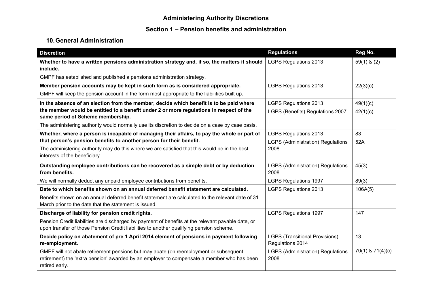#### **Section 1 – Pension benefits and administration**

# **10.General Administration**

| <b>Discretion</b>                                                                                                                                                                                    | <b>Regulations</b>                                        | Reg No.              |
|------------------------------------------------------------------------------------------------------------------------------------------------------------------------------------------------------|-----------------------------------------------------------|----------------------|
| Whether to have a written pensions administration strategy and, if so, the matters it should<br>include.                                                                                             | <b>LGPS Regulations 2013</b>                              | $59(1)$ & (2)        |
| GMPF has established and published a pensions administration strategy.                                                                                                                               |                                                           |                      |
| Member pension accounts may be kept in such form as is considered appropriate.                                                                                                                       | <b>LGPS Regulations 2013</b>                              | 22(3)(c)             |
| GMPF will keep the pension account in the form most appropriate to the liabilities built up.                                                                                                         |                                                           |                      |
| In the absence of an election from the member, decide which benefit is to be paid where                                                                                                              | <b>LGPS Regulations 2013</b>                              | 49(1)(c)             |
| the member would be entitled to a benefit under 2 or more regulations in respect of the<br>same period of Scheme membership.                                                                         | LGPS (Benefits) Regulations 2007                          | 42(1)(c)             |
| The administering authority would normally use its discretion to decide on a case by case basis.                                                                                                     |                                                           |                      |
| Whether, where a person is incapable of managing their affairs, to pay the whole or part of                                                                                                          | <b>LGPS Regulations 2013</b>                              | 83                   |
| that person's pension benefits to another person for their benefit.                                                                                                                                  | <b>LGPS (Administration) Regulations</b>                  | 52A                  |
| The administering authority may do this where we are satisfied that this would be in the best<br>interests of the beneficiary.                                                                       | 2008                                                      |                      |
| Outstanding employee contributions can be recovered as a simple debt or by deduction                                                                                                                 | <b>LGPS (Administration) Regulations</b>                  | 45(3)                |
| from benefits.                                                                                                                                                                                       | 2008                                                      |                      |
| We will normally deduct any unpaid employee contributions from benefits.                                                                                                                             | <b>LGPS Regulations 1997</b>                              | 89(3)                |
| Date to which benefits shown on an annual deferred benefit statement are calculated.                                                                                                                 | <b>LGPS Regulations 2013</b>                              | 106A(5)              |
| Benefits shown on an annual deferred benefit statement are calculated to the relevant date of 31<br>March prior to the date that the statement is issued.                                            |                                                           |                      |
| Discharge of liability for pension credit rights.                                                                                                                                                    | <b>LGPS Regulations 1997</b>                              | 147                  |
| Pension Credit liabilities are discharged by payment of benefits at the relevant payable date, or<br>upon transfer of those Pension Credit liabilities to another qualifying pension scheme.         |                                                           |                      |
| Decide policy on abatement of pre 1 April 2014 element of pensions in payment following<br>re-employment.                                                                                            | <b>LGPS (Transitional Provisions)</b><br>Regulations 2014 | 13                   |
| GMPF will not abate retirement pensions but may abate (on reemployment or subsequent<br>retirement) the 'extra pension' awarded by an employer to compensate a member who has been<br>retired early. | <b>LGPS (Administration) Regulations</b><br>2008          | $70(1)$ & $71(4)(c)$ |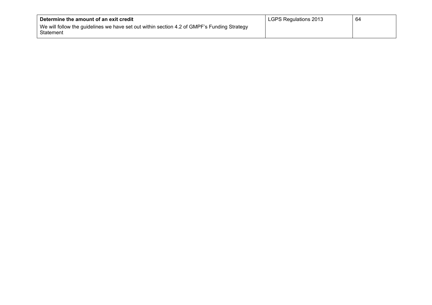| Determine the amount of an exit credit                                                                   | LGPS Regulations 2013 | 64 |
|----------------------------------------------------------------------------------------------------------|-----------------------|----|
| We will follow the guidelines we have set out within section 4.2 of GMPF's Funding Strategy<br>Statement |                       |    |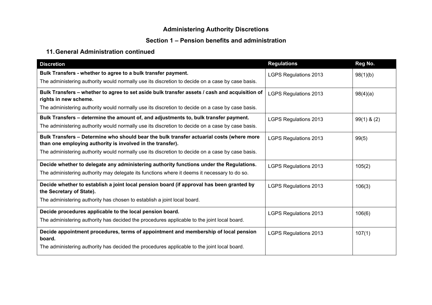## **Section 1 – Pension benefits and administration**

#### **11.General Administration continued**

| <b>Discretion</b>                                                                                                                                      | <b>Regulations</b>           | Reg No.       |
|--------------------------------------------------------------------------------------------------------------------------------------------------------|------------------------------|---------------|
| Bulk Transfers - whether to agree to a bulk transfer payment.                                                                                          | <b>LGPS Regulations 2013</b> | 98(1)(b)      |
| The administering authority would normally use its discretion to decide on a case by case basis.                                                       |                              |               |
| Bulk Transfers - whether to agree to set aside bulk transfer assets / cash and acquisition of<br>rights in new scheme.                                 | <b>LGPS Regulations 2013</b> | 98(4)(a)      |
| The administering authority would normally use its discretion to decide on a case by case basis.                                                       |                              |               |
| Bulk Transfers - determine the amount of, and adjustments to, bulk transfer payment.                                                                   | LGPS Regulations 2013        | $99(1)$ & (2) |
| The administering authority would normally use its discretion to decide on a case by case basis.                                                       |                              |               |
| Bulk Transfers - Determine who should bear the bulk transfer actuarial costs (where more<br>than one employing authority is involved in the transfer). | <b>LGPS Regulations 2013</b> | 99(5)         |
| The administering authority would normally use its discretion to decide on a case by case basis.                                                       |                              |               |
| Decide whether to delegate any administering authority functions under the Regulations.                                                                | <b>LGPS Regulations 2013</b> | 105(2)        |
| The administering authority may delegate its functions where it deems it necessary to do so.                                                           |                              |               |
| Decide whether to establish a joint local pension board (if approval has been granted by<br>the Secretary of State).                                   | <b>LGPS Regulations 2013</b> | 106(3)        |
| The administering authority has chosen to establish a joint local board.                                                                               |                              |               |
| Decide procedures applicable to the local pension board.                                                                                               | <b>LGPS Regulations 2013</b> | 106(6)        |
| The administering authority has decided the procedures applicable to the joint local board.                                                            |                              |               |
| Decide appointment procedures, terms of appointment and membership of local pension<br>board.                                                          | <b>LGPS Regulations 2013</b> | 107(1)        |
| The administering authority has decided the procedures applicable to the joint local board.                                                            |                              |               |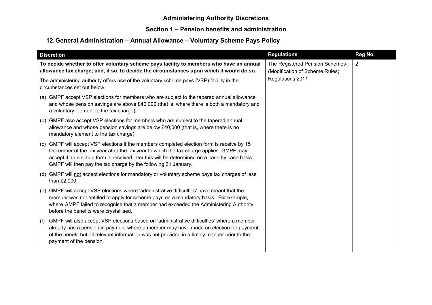#### **Section 1 – Pension benefits and administration**

# **12.General Administration – Annual Allowance – Voluntary Scheme Pays Policy**

| <b>Discretion</b>                                                                                                                                                                                                                                                                                                                                         | <b>Regulations</b>                                               | Reg No.               |
|-----------------------------------------------------------------------------------------------------------------------------------------------------------------------------------------------------------------------------------------------------------------------------------------------------------------------------------------------------------|------------------------------------------------------------------|-----------------------|
| To decide whether to offer voluntary scheme pays facility to members who have an annual<br>allowance tax charge; and, if so, to decide the circumstances upon which it would do so.                                                                                                                                                                       | The Registered Pension Schemes<br>(Modification of Scheme Rules) | $\mathbf{2}^{\prime}$ |
| The administering authority offers use of the voluntary scheme pays (VSP) facility in the<br>circumstances set out below:                                                                                                                                                                                                                                 | Regulations 2011                                                 |                       |
| (a) GMPF accept VSP elections for members who are subject to the tapered annual allowance<br>and whose pension savings are above £40,000 (that is, where there is both a mandatory and<br>a voluntary element to the tax charge).                                                                                                                         |                                                                  |                       |
| GMPF also accept VSP elections for members who are subject to the tapered annual<br>(b)<br>allowance and whose pension savings are below $£40,000$ (that is, where there is no<br>mandatory element to the tax charge)                                                                                                                                    |                                                                  |                       |
| GMPF will accept VSP elections if the members completed election form is receive by 15<br>(C)<br>December of the tax year after the tax year to which the tax charge applies. GMPF may<br>accept if an election form is received later this will be determined on a case by case basis.<br>GMPF will then pay the tax charge by the following 31 January. |                                                                  |                       |
| (d) GMPF will not accept elections for mandatory or voluntary scheme pays tax charges of less<br>than £2,000.                                                                                                                                                                                                                                             |                                                                  |                       |
| GMPF will accept VSP elections where 'administrative difficulties' have meant that the<br>(e)<br>member was not entitled to apply for scheme pays on a mandatory basis. For example,<br>where GMPF failed to recognise that a member had exceeded the Administering Authority<br>before the benefits were crystallised.                                   |                                                                  |                       |
| GMPF will also accept VSP elections based on 'administrative difficulties' where a member<br>(f)<br>already has a pension in payment where a member may have made an election for payment<br>of the benefit but all relevant information was not provided in a timely manner prior to the<br>payment of the pension.                                      |                                                                  |                       |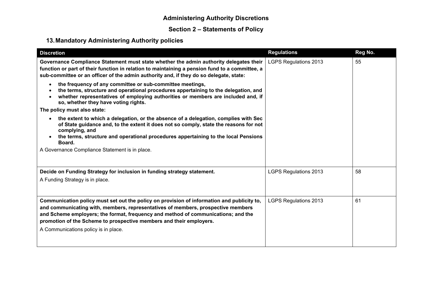# **Section 2 – Statements of Policy**

# **13.Mandatory Administering Authority policies**

| <b>Discretion</b>                                                                                                                                                                                                                                                                                                                                                                  | <b>Regulations</b>           | Reg No. |
|------------------------------------------------------------------------------------------------------------------------------------------------------------------------------------------------------------------------------------------------------------------------------------------------------------------------------------------------------------------------------------|------------------------------|---------|
| Governance Compliance Statement must state whether the admin authority delegates their<br>function or part of their function in relation to maintaining a pension fund to a committee, a<br>sub-committee or an officer of the admin authority and, if they do so delegate, state:                                                                                                 | <b>LGPS Regulations 2013</b> | 55      |
| the frequency of any committee or sub-committee meetings,<br>$\bullet$<br>the terms, structure and operational procedures appertaining to the delegation, and<br>whether representatives of employing authorities or members are included and, if<br>so, whether they have voting rights.                                                                                          |                              |         |
| The policy must also state:                                                                                                                                                                                                                                                                                                                                                        |                              |         |
| the extent to which a delegation, or the absence of a delegation, complies with Sec<br>of State guidance and, to the extent it does not so comply, state the reasons for not<br>complying, and<br>the terms, structure and operational procedures appertaining to the local Pensions<br>Board.                                                                                     |                              |         |
| A Governance Compliance Statement is in place.                                                                                                                                                                                                                                                                                                                                     |                              |         |
|                                                                                                                                                                                                                                                                                                                                                                                    |                              |         |
| Decide on Funding Strategy for inclusion in funding strategy statement.                                                                                                                                                                                                                                                                                                            | <b>LGPS Regulations 2013</b> | 58      |
| A Funding Strategy is in place.                                                                                                                                                                                                                                                                                                                                                    |                              |         |
|                                                                                                                                                                                                                                                                                                                                                                                    |                              |         |
| Communication policy must set out the policy on provision of information and publicity to,<br>and communicating with, members, representatives of members, prospective members<br>and Scheme employers; the format, frequency and method of communications; and the<br>promotion of the Scheme to prospective members and their employers.<br>A Communications policy is in place. | <b>LGPS Regulations 2013</b> | 61      |
|                                                                                                                                                                                                                                                                                                                                                                                    |                              |         |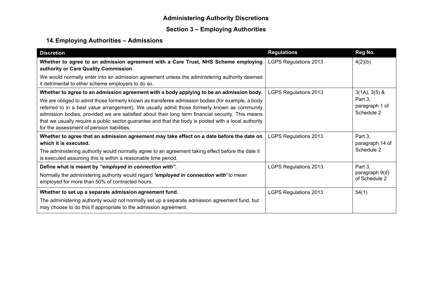# **Section 3 – Employing Authorities**

# **14.Employing Authorities – Admissions**

| <b>Discretion</b>                                                                                                                                                                                                                                                                                                                                                                                                                                          | <b>Regulations</b>           | Reg No.                                 |
|------------------------------------------------------------------------------------------------------------------------------------------------------------------------------------------------------------------------------------------------------------------------------------------------------------------------------------------------------------------------------------------------------------------------------------------------------------|------------------------------|-----------------------------------------|
| Whether to agree to an admission agreement with a Care Trust, NHS Scheme employing<br>authority or Care Quality Commission.                                                                                                                                                                                                                                                                                                                                | <b>LGPS Regulations 2013</b> | 4(2)(b)                                 |
| We would normally enter into an admission agreement unless the administering authority deemed<br>it detrimental to other scheme employers to do so.                                                                                                                                                                                                                                                                                                        |                              |                                         |
| Whether to agree to an admission agreement with a body applying to be an admission body.                                                                                                                                                                                                                                                                                                                                                                   | <b>LGPS Regulations 2013</b> | $3(1A), 3(5)$ &                         |
| We are obliged to admit those formerly known as transferee admission bodies (for example, a body<br>referred to in a best value arrangement). We usually admit those formerly known as community<br>admission bodies, provided we are satisfied about their long term financial security. This means<br>that we usually require a public sector guarantee and that the body is pooled with a local authority<br>for the assessment of pension liabilities. |                              | Part 3,<br>paragraph 1 of<br>Schedule 2 |
| Whether to agree that an admission agreement may take effect on a date before the date on<br>which it is executed.                                                                                                                                                                                                                                                                                                                                         | <b>LGPS Regulations 2013</b> | Part 3,<br>paragraph 14 of              |
| The administering authority would normally agree to an agreement taking effect before the date it<br>is executed assuming this is within a reasonable time period.                                                                                                                                                                                                                                                                                         |                              | Schedule 2                              |
| Define what is meant by "employed in connection with".                                                                                                                                                                                                                                                                                                                                                                                                     | <b>LGPS Regulations 2013</b> | Part 3,                                 |
| Normally the administering authority would regard 'employed in connection with' to mean<br>employed for more than 50% of contracted hours.                                                                                                                                                                                                                                                                                                                 |                              | paragraph 9(d)<br>of Schedule 2         |
| Whether to set up a separate admission agreement fund.                                                                                                                                                                                                                                                                                                                                                                                                     | <b>LGPS Regulations 2013</b> | 54(1)                                   |
| The administering authority would not normally set up a separate admission agreement fund, but<br>may choose to do this if appropriate to the admission agreement.                                                                                                                                                                                                                                                                                         |                              |                                         |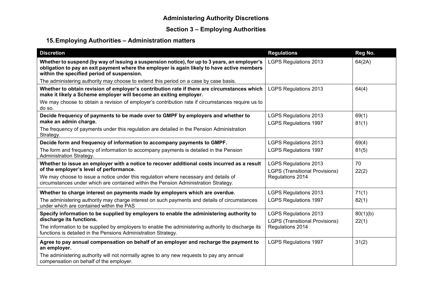# **Section 3 – Employing Authorities**

# **15.Employing Authorities – Administration matters**

| <b>Discretion</b>                                                                                                                                                                                                                         | <b>Regulations</b>                                                    | Reg No.        |
|-------------------------------------------------------------------------------------------------------------------------------------------------------------------------------------------------------------------------------------------|-----------------------------------------------------------------------|----------------|
| Whether to suspend (by way of issuing a suspension notice), for up to 3 years, an employer's<br>obligation to pay an exit payment where the employer is again likely to have active members<br>within the specified period of suspension. | <b>LGPS Regulations 2013</b>                                          | 64(2A)         |
| The administering authority may choose to extend this period on a case by case basis.                                                                                                                                                     |                                                                       |                |
| Whether to obtain revision of employer's contribution rate if there are circumstances which<br>make it likely a Scheme employer will become an exiting employer.                                                                          | <b>LGPS Regulations 2013</b>                                          | 64(4)          |
| We may choose to obtain a revision of employer's contribution rate if circumstances require us to<br>do so.                                                                                                                               |                                                                       |                |
| Decide frequency of payments to be made over to GMPF by employers and whether to<br>make an admin charge.                                                                                                                                 | <b>LGPS Regulations 2013</b><br><b>LGPS Regulations 1997</b>          | 69(1)<br>81(1) |
| The frequency of payments under this regulation are detailed in the Pension Administration<br>Strategy.                                                                                                                                   |                                                                       |                |
| Decide form and frequency of information to accompany payments to GMPF.                                                                                                                                                                   | <b>LGPS Regulations 2013</b>                                          | 69(4)          |
| The form and frequency of information to accompany payments is detailed in the Pension<br>Administration Strategy.                                                                                                                        | <b>LGPS Regulations 1997</b>                                          | 81(5)          |
| Whether to issue an employer with a notice to recover additional costs incurred as a result<br>of the employer's level of performance.                                                                                                    | <b>LGPS Regulations 2013</b><br><b>LGPS (Transitional Provisions)</b> | 70<br>22(2)    |
| We may choose to issue a notice under this regulation where necessary and details of<br>circumstances under which are contained within the Pension Administration Strategy.                                                               | Regulations 2014                                                      |                |
| Whether to charge interest on payments made by employers which are overdue.                                                                                                                                                               | <b>LGPS Regulations 2013</b>                                          | 71(1)          |
| The administering authority may charge interest on such payments and details of circumstances<br>under which are contained within the PAS                                                                                                 | <b>LGPS Regulations 1997</b>                                          | 82(1)          |
| Specify information to be supplied by employers to enable the administering authority to                                                                                                                                                  | <b>LGPS Regulations 2013</b>                                          | 80(1)(b)       |
| discharge its functions.                                                                                                                                                                                                                  | <b>LGPS (Transitional Provisions)</b>                                 | 22(1)          |
| The information to be supplied by employers to enable the administering authority to discharge its<br>functions is detailed in the Pensions Administration Strategy.                                                                      | Regulations 2014                                                      |                |
| Agree to pay annual compensation on behalf of an employer and recharge the payment to<br>an employer.                                                                                                                                     | <b>LGPS Regulations 1997</b>                                          | 31(2)          |
| The administering authority will not normally agree to any new requests to pay any annual<br>compensation on behalf of the employer.                                                                                                      |                                                                       |                |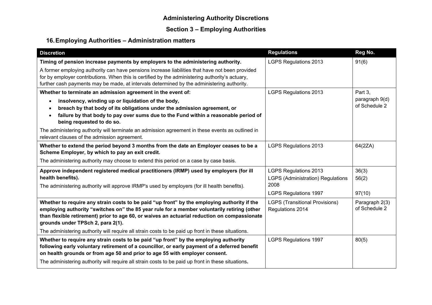# **Section 3 – Employing Authorities**

# **16.Employing Authorities – Administration matters**

| <b>Discretion</b>                                                                                                                                                                                                                                                                                                                                                                                                                     | <b>Regulations</b>                                                                                               | Reg No.                         |
|---------------------------------------------------------------------------------------------------------------------------------------------------------------------------------------------------------------------------------------------------------------------------------------------------------------------------------------------------------------------------------------------------------------------------------------|------------------------------------------------------------------------------------------------------------------|---------------------------------|
| Timing of pension increase payments by employers to the administering authority.                                                                                                                                                                                                                                                                                                                                                      | <b>LGPS Regulations 2013</b>                                                                                     | 91(6)                           |
| A former employing authority can have pensions increase liabilities that have not been provided<br>for by employer contributions. When this is certified by the administering authority's actuary,<br>further cash payments may be made, at intervals determined by the administering authority.                                                                                                                                      |                                                                                                                  |                                 |
| Whether to terminate an admission agreement in the event of:                                                                                                                                                                                                                                                                                                                                                                          | <b>LGPS Regulations 2013</b>                                                                                     | Part 3,                         |
| insolvency, winding up or liquidation of the body,<br>$\bullet$<br>breach by that body of its obligations under the admission agreement, or<br>$\bullet$<br>failure by that body to pay over sums due to the Fund within a reasonable period of<br>being requested to do so.                                                                                                                                                          |                                                                                                                  | paragraph 9(d)<br>of Schedule 2 |
| The administering authority will terminate an admission agreement in these events as outlined in<br>relevant clauses of the admission agreement.                                                                                                                                                                                                                                                                                      |                                                                                                                  |                                 |
| Whether to extend the period beyond 3 months from the date an Employer ceases to be a<br>Scheme Employer, by which to pay an exit credit.                                                                                                                                                                                                                                                                                             | <b>LGPS Regulations 2013</b>                                                                                     | 64(2ZA)                         |
| The administering authority may choose to extend this period on a case by case basis.                                                                                                                                                                                                                                                                                                                                                 |                                                                                                                  |                                 |
| Approve independent registered medical practitioners (IRMP) used by employers (for ill<br>health benefits).<br>The administering authority will approve IRMP's used by employers (for ill health benefits).                                                                                                                                                                                                                           | <b>LGPS Regulations 2013</b><br><b>LGPS (Administration) Regulations</b><br>2008<br><b>LGPS Regulations 1997</b> | 36(3)<br>56(2)<br>97(10)        |
| Whether to require any strain costs to be paid "up front" by the employing authority if the<br>employing authority "switches on" the 85 year rule for a member voluntarily retiring (other<br>than flexible retirement) prior to age 60, or waives an actuarial reduction on compassionate<br>grounds under TPSch 2, para 2(1).<br>The administering authority will require all strain costs to be paid up front in these situations. | <b>LGPS (Transitional Provisions)</b><br>Regulations 2014                                                        | Paragraph 2(3)<br>of Schedule 2 |
| Whether to require any strain costs to be paid "up front" by the employing authority<br>following early voluntary retirement of a councillor, or early payment of a deferred benefit<br>on health grounds or from age 50 and prior to age 55 with employer consent.<br>The administering authority will require all strain costs to be paid up front in these situations.                                                             | <b>LGPS Regulations 1997</b>                                                                                     | 80(5)                           |